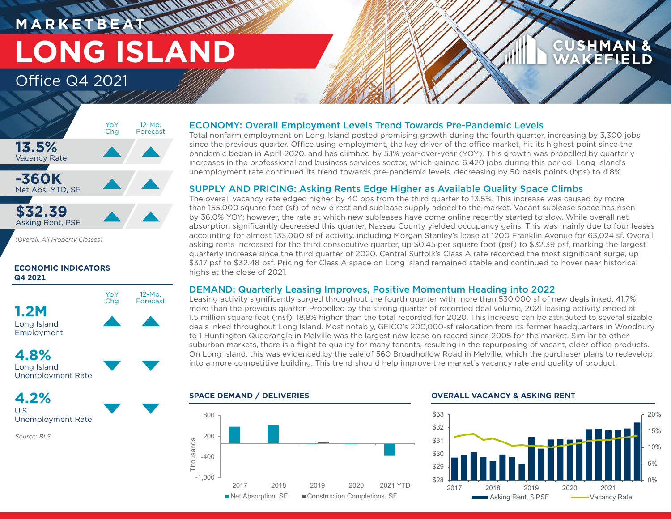# **M A R K E T B E AT LONG ISLAND** Office Q4 2021

# **CUSHMAN &** WAKEFIELD



*(Overall, All Property Classes)*

# **ECONOMIC INDICATORS Q4 2021**



# **4.8%** Long Island

Unemployment Rate

**4.2%** U.S. Unemployment Rate

*Source: BLS*

# ECONOMY: Overall Employment Levels Trend Towards Pre-Pandemic Levels

Total nonfarm employment on Long Island posted promising growth during the fourth quarter, increasing by 3,300 jobs since the previous quarter. Office using employment, the key driver of the office market, hit its highest point since the pandemic began in April 2020, and has climbed by 5.1% year-over-year (YOY). This growth was propelled by quarterly increases in the professional and business services sector, which gained 6,420 jobs during this period. Long Island's unemployment rate continued its trend towards pre-pandemic levels, decreasing by 50 basis points (bps) to 4.8%

# SUPPLY AND PRICING: Asking Rents Edge Higher as Available Quality Space Climbs

The overall vacancy rate edged higher by 40 bps from the third quarter to 13.5%. This increase was caused by more than 155,000 square feet (sf) of new direct and sublease supply added to the market. Vacant sublease space has risen by 36.0% YOY; however, the rate at which new subleases have come online recently started to slow. While overall net absorption significantly decreased this quarter, Nassau County yielded occupancy gains. This was mainly due to four leases accounting for almost 133,000 sf of activity, including Morgan Stanley's lease at 1200 Franklin Avenue for 63,024 sf. Overall asking rents increased for the third consecutive quarter, up \$0.45 per square foot (psf) to \$32.39 psf, marking the largest quarterly increase since the third quarter of 2020. Central Suffolk's Class A rate recorded the most significant surge, up \$3.17 psf to \$32.48 psf. Pricing for Class A space on Long Island remained stable and continued to hover near historical highs at the close of 2021.

# DEMAND: Quarterly Leasing Improves, Positive Momentum Heading into 2022

Leasing activity significantly surged throughout the fourth quarter with more than 530,000 sf of new deals inked, 41.7% more than the previous quarter. Propelled by the strong quarter of recorded deal volume, 2021 leasing activity ended at 1.5 million square feet (msf), 18.8% higher than the total recorded for 2020. This increase can be attributed to several sizable deals inked throughout Long Island. Most notably, GEICO's 200,000-sf relocation from its former headquarters in Woodbury to 1 Huntington Quadrangle in Melville was the largest new lease on record since 2005 for the market. Similar to other suburban markets, there is a flight to quality for many tenants, resulting in the repurposing of vacant, older office products. On Long Island, this was evidenced by the sale of 560 Broadhollow Road in Melville, which the purchaser plans to redevelop into a more competitive building. This trend should help improve the market's vacancy rate and quality of product.



### **SPACE DEMAND / DELIVERIES OVERALL VACANCY & ASKING RENT**